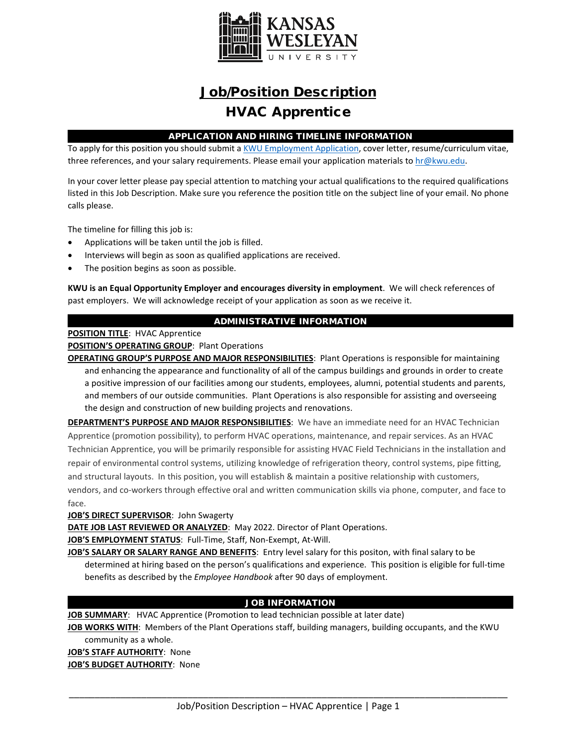

# Job/Position Description HVAC Apprentice

# APPLICATION AND HIRING TIMELINE INFORMATION

To apply for this position you should submit [a KWU Employment Application,](https://www.kwu.edu/wp-content/uploads/Employment-Application-Form-ELECTRONIC-Revised-3-.pdf) cover letter, resume/curriculum vitae, three references, and your salary requirements. Please email your application materials to [hr@kwu.edu.](mailto:hr@kwu.edu)

In your cover letter please pay special attention to matching your actual qualifications to the required qualifications listed in this Job Description. Make sure you reference the position title on the subject line of your email. No phone calls please.

The timeline for filling this job is:

- Applications will be taken until the job is filled.
- Interviews will begin as soon as qualified applications are received.
- The position begins as soon as possible.

**KWU is an Equal Opportunity Employer and encourages diversity in employment**. We will check references of past employers. We will acknowledge receipt of your application as soon as we receive it.

# ADMINISTRATIVE INFORMATION

### **POSITION TITLE**: HVAC Apprentice

### **POSITION'S OPERATING GROUP**: Plant Operations

**OPERATING GROUP'S PURPOSE AND MAJOR RESPONSIBILITIES**: Plant Operations is responsible for maintaining and enhancing the appearance and functionality of all of the campus buildings and grounds in order to create a positive impression of our facilities among our students, employees, alumni, potential students and parents, and members of our outside communities. Plant Operations is also responsible for assisting and overseeing the design and construction of new building projects and renovations.

**DEPARTMENT'S PURPOSE AND MAJOR RESPONSIBILITIES**: We have an immediate need for an HVAC Technician Apprentice (promotion possibility), to perform HVAC operations, maintenance, and repair services. As an HVAC Technician Apprentice, you will be primarily responsible for assisting HVAC Field Technicians in the installation and repair of environmental control systems, utilizing knowledge of refrigeration theory, control systems, pipe fitting, and structural layouts. In this position, you will establish & maintain a positive relationship with customers, vendors, and co-workers through effective oral and written communication skills via phone, computer, and face to face.

### **JOB'S DIRECT SUPERVISOR**: John Swagerty

**DATE JOB LAST REVIEWED OR ANALYZED**: May 2022. Director of Plant Operations.

**JOB'S EMPLOYMENT STATUS**: Full-Time, Staff, Non-Exempt, At-Will.

**JOB'S SALARY OR SALARY RANGE AND BENEFITS**: Entry level salary for this positon, with final salary to be determined at hiring based on the person's qualifications and experience. This position is eligible for full-time benefits as described by the *Employee Handbook* after 90 days of employment.

# JOB INFORMATION

**JOB SUMMARY**: HVAC Apprentice (Promotion to lead technician possible at later date)

**JOB WORKS WITH**: Members of the Plant Operations staff, building managers, building occupants, and the KWU community as a whole.

**JOB'S STAFF AUTHORITY**: None **JOB'S BUDGET AUTHORITY**: None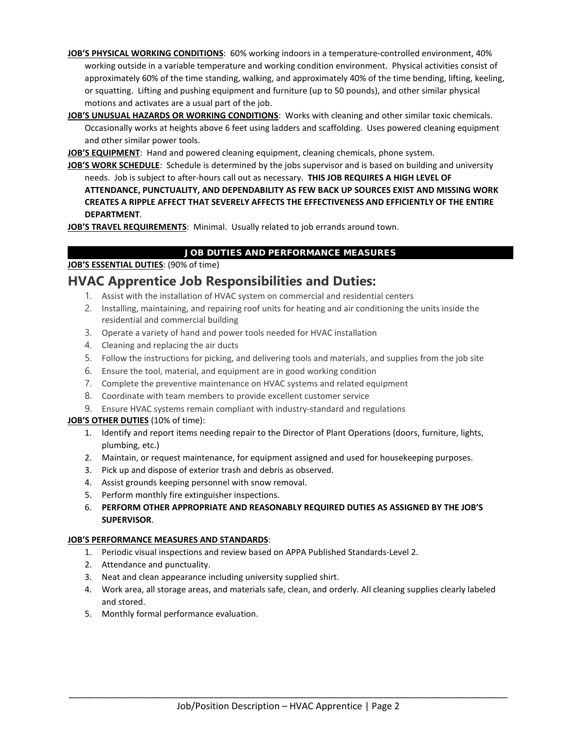- **JOB'S PHYSICAL WORKING CONDITIONS**: 60% working indoors in a temperature-controlled environment, 40% working outside in a variable temperature and working condition environment. Physical activities consist of approximately 60% of the time standing, walking, and approximately 40% of the time bending, lifting, keeling, or squatting. Lifting and pushing equipment and furniture (up to 50 pounds), and other similar physical motions and activates are a usual part of the job.
- **JOB'S UNUSUAL HAZARDS OR WORKING CONDITIONS**: Works with cleaning and other similar toxic chemicals. Occasionally works at heights above 6 feet using ladders and scaffolding. Uses powered cleaning equipment and other similar power tools.

**JOB'S EQUIPMENT**: Hand and powered cleaning equipment, cleaning chemicals, phone system.

**JOB'S WORK SCHEDULE**: Schedule is determined by the jobs supervisor and is based on building and university needs. Job is subject to after-hours call out as necessary. **THIS JOB REQUIRES A HIGH LEVEL OF ATTENDANCE, PUNCTUALITY, AND DEPENDABILITY AS FEW BACK UP SOURCES EXIST AND MISSING WORK CREATES A RIPPLE AFFECT THAT SEVERELY AFFECTS THE EFFECTIVENESS AND EFFICIENTLY OF THE ENTIRE DEPARTMENT**.

**JOB'S TRAVEL REQUIREMENTS**: Minimal. Usually related to job errands around town.

# JOB DUTIES AND PERFORMANCE MEASURES

# **JOB'S ESSENTIAL DUTIES**: (90% of time)

# **HVAC Apprentice Job Responsibilities and Duties:**

- 1. Assist with the installation of HVAC system on commercial and residential centers
- 2. Installing, maintaining, and repairing roof units for heating and air conditioning the units inside the residential and commercial building
- 3. Operate a variety of hand and power tools needed for HVAC installation
- 4. Cleaning and replacing the air ducts
- 5. Follow the instructions for picking, and delivering tools and materials, and supplies from the job site
- 6. Ensure the tool, material, and equipment are in good working condition
- 7. Complete the preventive maintenance on HVAC systems and related equipment
- 8. Coordinate with team members to provide excellent customer service
- 9. Ensure HVAC systems remain compliant with industry-standard and regulations

# **JOB'S OTHER DUTIES** (10% of time):

- 1. Identify and report items needing repair to the Director of Plant Operations (doors, furniture, lights, plumbing, etc.)
- 2. Maintain, or request maintenance, for equipment assigned and used for housekeeping purposes.
- 3. Pick up and dispose of exterior trash and debris as observed.
- 4. Assist grounds keeping personnel with snow removal.
- 5. Perform monthly fire extinguisher inspections.
- 6. **PERFORM OTHER APPROPRIATE AND REASONABLY REQUIRED DUTIES AS ASSIGNED BY THE JOB'S SUPERVISOR**.

### **JOB'S PERFORMANCE MEASURES AND STANDARDS**:

- 1. Periodic visual inspections and review based on APPA Published Standards-Level 2.
- 2. Attendance and punctuality.
- 3. Neat and clean appearance including university supplied shirt.
- 4. Work area, all storage areas, and materials safe, clean, and orderly. All cleaning supplies clearly labeled and stored.
- 5. Monthly formal performance evaluation.